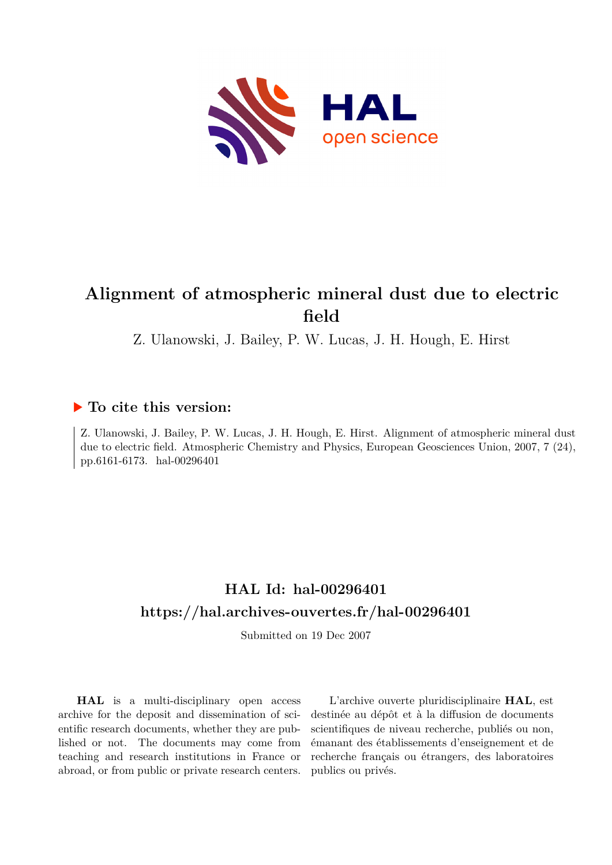

# **Alignment of atmospheric mineral dust due to electric field**

Z. Ulanowski, J. Bailey, P. W. Lucas, J. H. Hough, E. Hirst

# **To cite this version:**

Z. Ulanowski, J. Bailey, P. W. Lucas, J. H. Hough, E. Hirst. Alignment of atmospheric mineral dust due to electric field. Atmospheric Chemistry and Physics, European Geosciences Union, 2007, 7 (24), pp.6161-6173. hal-00296401

# **HAL Id: hal-00296401 <https://hal.archives-ouvertes.fr/hal-00296401>**

Submitted on 19 Dec 2007

**HAL** is a multi-disciplinary open access archive for the deposit and dissemination of scientific research documents, whether they are published or not. The documents may come from teaching and research institutions in France or abroad, or from public or private research centers.

L'archive ouverte pluridisciplinaire **HAL**, est destinée au dépôt et à la diffusion de documents scientifiques de niveau recherche, publiés ou non, émanant des établissements d'enseignement et de recherche français ou étrangers, des laboratoires publics ou privés.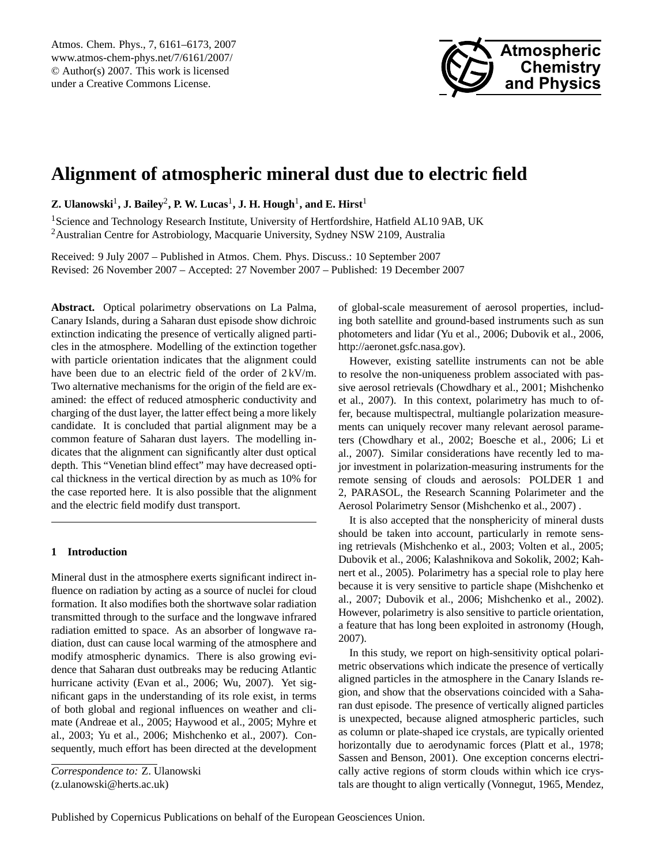

# <span id="page-1-0"></span>**Alignment of atmospheric mineral dust due to electric field**

 $\mathbf{Z}.$  Ulanowski $^1, \mathbf{J}.$  Bailey $^2,$  P. W. Lucas $^1, \mathbf{J}.$  H. Hough $^1,$  and E. Hirst $^1$ 

<sup>1</sup>Science and Technology Research Institute, University of Hertfordshire, Hatfield AL10 9AB, UK <sup>2</sup> Australian Centre for Astrobiology, Macquarie University, Sydney NSW 2109, Australia

Received: 9 July 2007 – Published in Atmos. Chem. Phys. Discuss.: 10 September 2007 Revised: 26 November 2007 – Accepted: 27 November 2007 – Published: 19 December 2007

**Abstract.** Optical polarimetry observations on La Palma, Canary Islands, during a Saharan dust episode show dichroic extinction indicating the presence of vertically aligned particles in the atmosphere. Modelling of the extinction together with particle orientation indicates that the alignment could have been due to an electric field of the order of 2 kV/m. Two alternative mechanisms for the origin of the field are examined: the effect of reduced atmospheric conductivity and charging of the dust layer, the latter effect being a more likely candidate. It is concluded that partial alignment may be a common feature of Saharan dust layers. The modelling indicates that the alignment can significantly alter dust optical depth. This "Venetian blind effect" may have decreased optical thickness in the vertical direction by as much as 10% for the case reported here. It is also possible that the alignment and the electric field modify dust transport.

# **1 Introduction**

Mineral dust in the atmosphere exerts significant indirect influence on radiation by acting as a source of nuclei for cloud formation. It also modifies both the shortwave solar radiation transmitted through to the surface and the longwave infrared radiation emitted to space. As an absorber of longwave radiation, dust can cause local warming of the atmosphere and modify atmospheric dynamics. There is also growing evidence that Saharan dust outbreaks may be reducing Atlantic hurricane activity (Evan et al., 2006; Wu, 2007). Yet significant gaps in the understanding of its role exist, in terms of both global and regional influences on weather and climate (Andreae et al., 2005; Haywood et al., 2005; Myhre et al., 2003; Yu et al., 2006; Mishchenko et al., 2007). Consequently, much effort has been directed at the development

*Correspondence to:* Z. Ulanowski (z.ulanowski@herts.ac.uk)

of global-scale measurement of aerosol properties, including both satellite and ground-based instruments such as sun photometers and lidar (Yu et al., 2006; Dubovik et al., 2006, [http://aeronet.gsfc.nasa.gov\)](http://aeronet.gsfc.nasa.gov).

However, existing satellite instruments can not be able to resolve the non-uniqueness problem associated with passive aerosol retrievals (Chowdhary et al., 2001; Mishchenko et al., 2007). In this context, polarimetry has much to offer, because multispectral, multiangle polarization measurements can uniquely recover many relevant aerosol parameters (Chowdhary et al., 2002; Boesche et al., 2006; Li et al., 2007). Similar considerations have recently led to major investment in polarization-measuring instruments for the remote sensing of clouds and aerosols: POLDER 1 and 2, PARASOL, the Research Scanning Polarimeter and the Aerosol Polarimetry Sensor (Mishchenko et al., 2007) .

It is also accepted that the nonsphericity of mineral dusts should be taken into account, particularly in remote sensing retrievals (Mishchenko et al., 2003; Volten et al., 2005; Dubovik et al., 2006; Kalashnikova and Sokolik, 2002; Kahnert et al., 2005). Polarimetry has a special role to play here because it is very sensitive to particle shape (Mishchenko et al., 2007; Dubovik et al., 2006; Mishchenko et al., 2002). However, polarimetry is also sensitive to particle orientation, a feature that has long been exploited in astronomy (Hough, 2007).

In this study, we report on high-sensitivity optical polarimetric observations which indicate the presence of vertically aligned particles in the atmosphere in the Canary Islands region, and show that the observations coincided with a Saharan dust episode. The presence of vertically aligned particles is unexpected, because aligned atmospheric particles, such as column or plate-shaped ice crystals, are typically oriented horizontally due to aerodynamic forces (Platt et al., 1978; Sassen and Benson, 2001). One exception concerns electrically active regions of storm clouds within which ice crystals are thought to align vertically (Vonnegut, 1965, Mendez,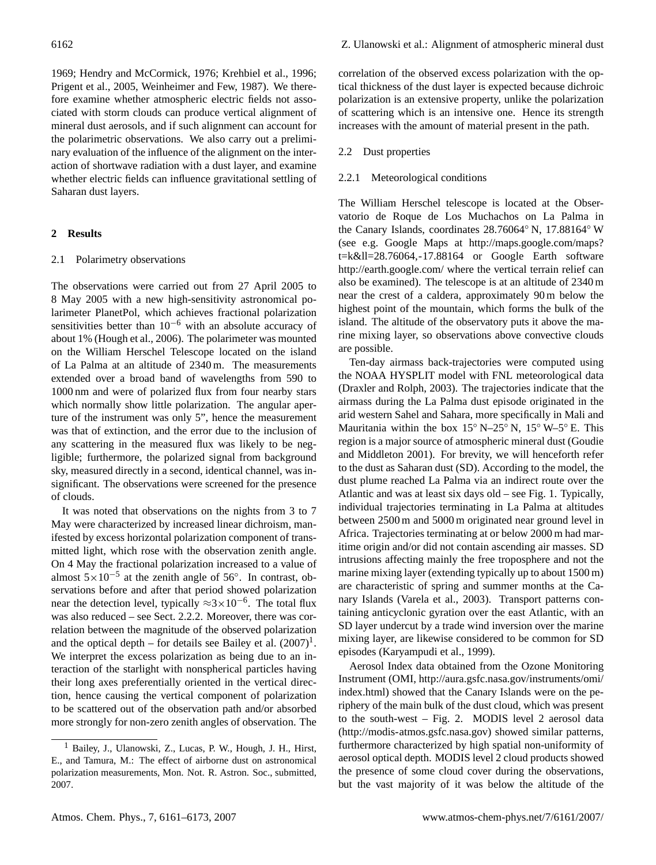1969; Hendry and McCormick, 1976; Krehbiel et al., 1996; Prigent et al., 2005, Weinheimer and Few, 1987). We therefore examine whether atmospheric electric fields not associated with storm clouds can produce vertical alignment of mineral dust aerosols, and if such alignment can account for the polarimetric observations. We also carry out a preliminary evaluation of the influence of the alignment on the interaction of shortwave radiation with a dust layer, and examine whether electric fields can influence gravitational settling of Saharan dust layers.

# **2 Results**

# 2.1 Polarimetry observations

The observations were carried out from 27 April 2005 to 8 May 2005 with a new high-sensitivity astronomical polarimeter PlanetPol, which achieves fractional polarization sensitivities better than 10<sup>-6</sup> with an absolute accuracy of about 1% (Hough et al., 2006). The polarimeter was mounted on the William Herschel Telescope located on the island of La Palma at an altitude of 2340 m. The measurements extended over a broad band of wavelengths from 590 to 1000 nm and were of polarized flux from four nearby stars which normally show little polarization. The angular aperture of the instrument was only 5", hence the measurement was that of extinction, and the error due to the inclusion of any scattering in the measured flux was likely to be negligible; furthermore, the polarized signal from background sky, measured directly in a second, identical channel, was insignificant. The observations were screened for the presence of clouds.

It was noted that observations on the nights from 3 to 7 May were characterized by increased linear dichroism, manifested by excess horizontal polarization component of transmitted light, which rose with the observation zenith angle. On 4 May the fractional polarization increased to a value of almost  $5 \times 10^{-5}$  at the zenith angle of 56°. In contrast, observations before and after that period showed polarization near the detection level, typically  $\approx 3 \times 10^{-6}$ . The total flux was also reduced – see Sect. 2.2.2. Moreover, there was correlation between the magnitude of the observed polarization and the optical depth – for details see Bailey et al.  $(2007)^1$  $(2007)^1$ . We interpret the excess polarization as being due to an interaction of the starlight with nonspherical particles having their long axes preferentially oriented in the vertical direction, hence causing the vertical component of polarization to be scattered out of the observation path and/or absorbed more strongly for non-zero zenith angles of observation. The

correlation of the observed excess polarization with the optical thickness of the dust layer is expected because dichroic polarization is an extensive property, unlike the polarization of scattering which is an intensive one. Hence its strength increases with the amount of material present in the path.

### 2.2 Dust properties

#### 2.2.1 Meteorological conditions

The William Herschel telescope is located at the Observatorio de Roque de Los Muchachos on La Palma in the Canary Islands, coordinates 28.76064◦ N, 17.88164◦ W (see e.g. Google Maps at [http://maps.google.com/maps?](http://maps.google.com/maps?t=k&ll=28.76064,-17.88164) [t=k&ll=28.76064,-17.88164](http://maps.google.com/maps?t=k&ll=28.76064,-17.88164) or Google Earth software http://earth.google.com/ where the vertical terrain relief can also be examined). The telescope is at an altitude of 2340 m near the crest of a caldera, approximately 90 m below the highest point of the mountain, which forms the bulk of the island. The altitude of the observatory puts it above the marine mixing layer, so observations above convective clouds are possible.

Ten-day airmass back-trajectories were computed using the NOAA HYSPLIT model with FNL meteorological data (Draxler and Rolph, 2003). The trajectories indicate that the airmass during the La Palma dust episode originated in the arid western Sahel and Sahara, more specifically in Mali and Mauritania within the box  $15° N-25° N$ ,  $15° W-5° E$ . This region is a major source of atmospheric mineral dust (Goudie and Middleton 2001). For brevity, we will henceforth refer to the dust as Saharan dust (SD). According to the model, the dust plume reached La Palma via an indirect route over the Atlantic and was at least six days old – see Fig. 1. Typically, individual trajectories terminating in La Palma at altitudes between 2500 m and 5000 m originated near ground level in Africa. Trajectories terminating at or below 2000 m had maritime origin and/or did not contain ascending air masses. SD intrusions affecting mainly the free troposphere and not the marine mixing layer (extending typically up to about 1500 m) are characteristic of spring and summer months at the Canary Islands (Varela et al., 2003). Transport patterns containing anticyclonic gyration over the east Atlantic, with an SD layer undercut by a trade wind inversion over the marine mixing layer, are likewise considered to be common for SD episodes (Karyampudi et al., 1999).

Aerosol Index data obtained from the Ozone Monitoring Instrument (OMI, [http://aura.gsfc.nasa.gov/instruments/omi/](http://aura.gsfc.nasa.gov/instruments/omi/index.html) [index.html\)](http://aura.gsfc.nasa.gov/instruments/omi/index.html) showed that the Canary Islands were on the periphery of the main bulk of the dust cloud, which was present to the south-west – Fig. 2. MODIS level 2 aerosol data [\(http://modis-atmos.gsfc.nasa.gov\)](http://modis-atmos.gsfc.nasa.gov) showed similar patterns, furthermore characterized by high spatial non-uniformity of aerosol optical depth. MODIS level 2 cloud products showed the presence of some cloud cover during the observations, but the vast majority of it was below the altitude of the

<span id="page-2-0"></span><sup>&</sup>lt;sup>1</sup> Bailey, J., Ulanowski, Z., Lucas, P. W., Hough, J. H., Hirst, E., and Tamura, M.: The effect of airborne dust on astronomical polarization measurements, Mon. Not. R. Astron. Soc., submitted, 2007.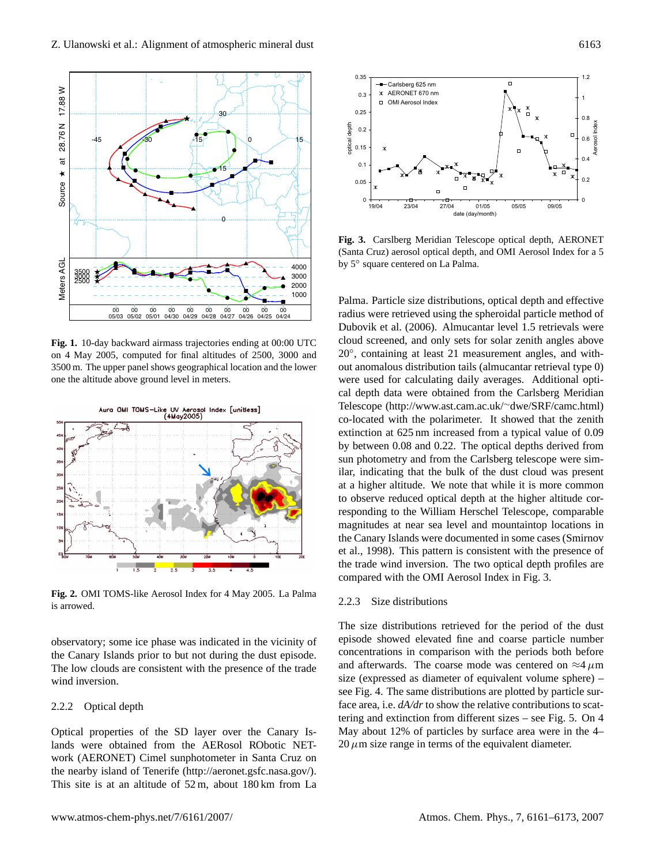

**Fig. 1.** 10-day backward airmass trajectories ending at 00:00 UTC on 4 May 2005, computed for final altitudes of 2500, 3000 and 3500 m. The upper panel shows geographical location and the lower one the altitude above ground level in meters.



**Fig. 2.** OMI TOMS-like Aerosol Index for 4 May 2005. La Palma is arrowed.

observatory; some ice phase was indicated in the vicinity of the Canary Islands prior to but not during the dust episode. The low clouds are consistent with the presence of the trade wind inversion.

## 2.2.2 Optical depth

Optical properties of the SD layer over the Canary Islands were obtained from the AERosol RObotic NETwork (AERONET) Cimel sunphotometer in Santa Cruz on the nearby island of Tenerife [\(http://aeronet.gsfc.nasa.gov/\)](http://aeronet.gsfc.nasa.gov/). This site is at an altitude of 52 m, about 180 km from La



**Fig. 3.** Carslberg Meridian Telescope optical depth, AERONET (Santa Cruz) aerosol optical depth, and OMI Aerosol Index for a 5 by 5◦ square centered on La Palma.

Palma. Particle size distributions, optical depth and effective radius were retrieved using the spheroidal particle method of Dubovik et al. (2006). Almucantar level 1.5 retrievals were cloud screened, and only sets for solar zenith angles above 20◦ , containing at least 21 measurement angles, and without anomalous distribution tails (almucantar retrieval type 0) were used for calculating daily averages. Additional optical depth data were obtained from the Carlsberg Meridian Telescope [\(http://www.ast.cam.ac.uk/](http://www.ast.cam.ac.uk/~dwe/SRF/camc.html)∼dwe/SRF/camc.html) co-located with the polarimeter. It showed that the zenith extinction at 625 nm increased from a typical value of 0.09 by between 0.08 and 0.22. The optical depths derived from sun photometry and from the Carlsberg telescope were similar, indicating that the bulk of the dust cloud was present at a higher altitude. We note that while it is more common to observe reduced optical depth at the higher altitude corresponding to the William Herschel Telescope, comparable magnitudes at near sea level and mountaintop locations in the Canary Islands were documented in some cases (Smirnov et al., 1998). This pattern is consistent with the presence of the trade wind inversion. The two optical depth profiles are compared with the OMI Aerosol Index in Fig. 3.

#### 2.2.3 Size distributions

The size distributions retrieved for the period of the dust episode showed elevated fine and coarse particle number concentrations in comparison with the periods both before and afterwards. The coarse mode was centered on  $\approx$ 4 $\mu$ m size (expressed as diameter of equivalent volume sphere) – see Fig. 4. The same distributions are plotted by particle surface area, i.e.  $dA/dr$  to show the relative contributions to scattering and extinction from different sizes – see Fig. 5. On 4 May about 12% of particles by surface area were in the 4–  $20 \mu$ m size range in terms of the equivalent diameter.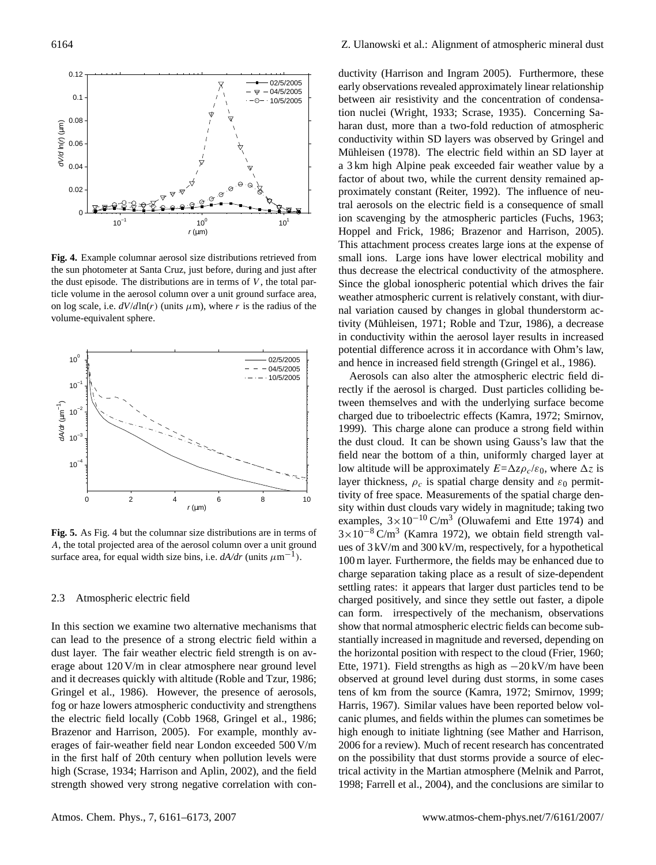

**Fig. 4.** Example columnar aerosol size distributions retrieved from the sun photometer at Santa Cruz, just before, during and just after the dust episode. The distributions are in terms of  $V$ , the total particle volume in the aerosol column over a unit ground surface area, on log scale, i.e.  $dV/d\text{ln}(r)$  (units  $\mu$ m), where r is the radius of the volume-equivalent sphere.



**Fig. 5.** As Fig. 4 but the columnar size distributions are in terms of A, the total projected area of the aerosol column over a unit ground surface area, for equal width size bins, i.e.  $dA/dr$  (units  $\mu$ m<sup>-1</sup>).

#### 2.3 Atmospheric electric field

In this section we examine two alternative mechanisms that can lead to the presence of a strong electric field within a dust layer. The fair weather electric field strength is on average about 120 V/m in clear atmosphere near ground level and it decreases quickly with altitude (Roble and Tzur, 1986; Gringel et al., 1986). However, the presence of aerosols, fog or haze lowers atmospheric conductivity and strengthens the electric field locally (Cobb 1968, Gringel et al., 1986; Brazenor and Harrison, 2005). For example, monthly averages of fair-weather field near London exceeded 500 V/m in the first half of 20th century when pollution levels were high (Scrase, 1934; Harrison and Aplin, 2002), and the field strength showed very strong negative correlation with con-

ductivity (Harrison and Ingram 2005). Furthermore, these early observations revealed approximately linear relationship between air resistivity and the concentration of condensation nuclei (Wright, 1933; Scrase, 1935). Concerning Saharan dust, more than a two-fold reduction of atmospheric conductivity within SD layers was observed by Gringel and Mühleisen (1978). The electric field within an SD layer at a 3 km high Alpine peak exceeded fair weather value by a factor of about two, while the current density remained approximately constant (Reiter, 1992). The influence of neutral aerosols on the electric field is a consequence of small ion scavenging by the atmospheric particles (Fuchs, 1963; Hoppel and Frick, 1986; Brazenor and Harrison, 2005). This attachment process creates large ions at the expense of small ions. Large ions have lower electrical mobility and thus decrease the electrical conductivity of the atmosphere. Since the global ionospheric potential which drives the fair weather atmospheric current is relatively constant, with diurnal variation caused by changes in global thunderstorm activity (Mühleisen, 1971; Roble and Tzur, 1986), a decrease in conductivity within the aerosol layer results in increased potential difference across it in accordance with Ohm's law, and hence in increased field strength (Gringel et al., 1986).

Aerosols can also alter the atmospheric electric field directly if the aerosol is charged. Dust particles colliding between themselves and with the underlying surface become charged due to triboelectric effects (Kamra, 1972; Smirnov, 1999). This charge alone can produce a strong field within the dust cloud. It can be shown using Gauss's law that the field near the bottom of a thin, uniformly charged layer at low altitude will be approximately  $E = \Delta z \rho_c / \varepsilon_0$ , where  $\Delta z$  is layer thickness,  $\rho_c$  is spatial charge density and  $\varepsilon_0$  permittivity of free space. Measurements of the spatial charge density within dust clouds vary widely in magnitude; taking two examples,  $3 \times 10^{-10}$  C/m<sup>3</sup> (Oluwafemi and Ette 1974) and  $3\times10^{-8}$  C/m<sup>3</sup> (Kamra 1972), we obtain field strength values of 3 kV/m and 300 kV/m, respectively, for a hypothetical 100 m layer. Furthermore, the fields may be enhanced due to charge separation taking place as a result of size-dependent settling rates: it appears that larger dust particles tend to be charged positively, and since they settle out faster, a dipole can form. irrespectively of the mechanism, observations show that normal atmospheric electric fields can become substantially increased in magnitude and reversed, depending on the horizontal position with respect to the cloud (Frier, 1960; Ette, 1971). Field strengths as high as −20 kV/m have been observed at ground level during dust storms, in some cases tens of km from the source (Kamra, 1972; Smirnov, 1999; Harris, 1967). Similar values have been reported below volcanic plumes, and fields within the plumes can sometimes be high enough to initiate lightning (see Mather and Harrison, 2006 for a review). Much of recent research has concentrated on the possibility that dust storms provide a source of electrical activity in the Martian atmosphere (Melnik and Parrot, 1998; Farrell et al., 2004), and the conclusions are similar to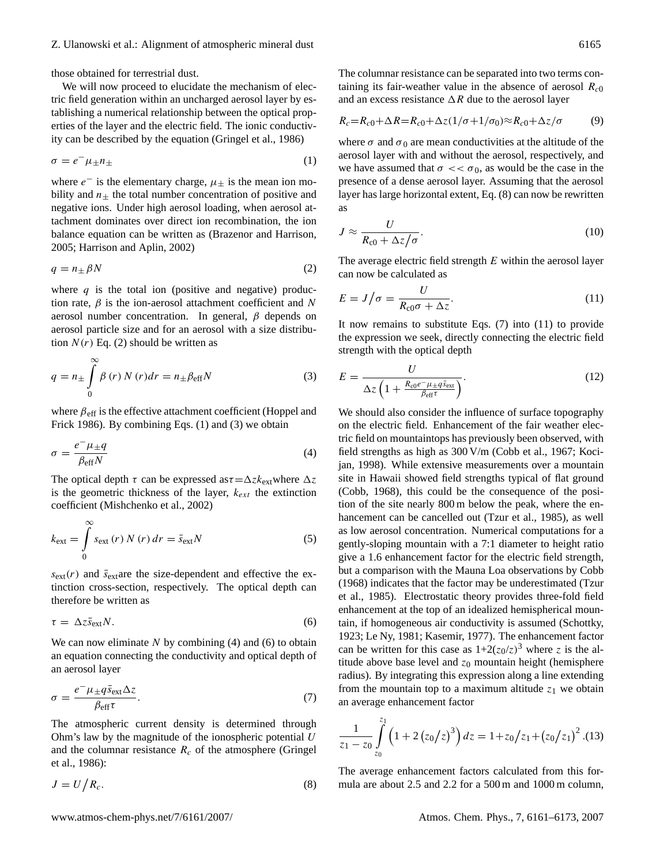those obtained for terrestrial dust.

We will now proceed to elucidate the mechanism of electric field generation within an uncharged aerosol layer by establishing a numerical relationship between the optical properties of the layer and the electric field. The ionic conductivity can be described by the equation (Gringel et al., 1986)

$$
\sigma = e^- \mu_{\pm} n_{\pm} \tag{1}
$$

where  $e^-$  is the elementary charge,  $\mu_{\pm}$  is the mean ion mobility and  $n_{\pm}$  the total number concentration of positive and negative ions. Under high aerosol loading, when aerosol attachment dominates over direct ion recombination, the ion balance equation can be written as (Brazenor and Harrison, 2005; Harrison and Aplin, 2002)

$$
q = n_{\pm} \beta N \tag{2}
$$

where  $q$  is the total ion (positive and negative) production rate,  $\beta$  is the ion-aerosol attachment coefficient and N aerosol number concentration. In general,  $\beta$  depends on aerosol particle size and for an aerosol with a size distribution  $N(r)$  Eq. (2) should be written as

$$
q = n_{\pm} \int_{0}^{\infty} \beta(r) N(r) dr = n_{\pm} \beta_{\text{eff}} N
$$
 (3)

where  $\beta_{\text{eff}}$  is the effective attachment coefficient (Hoppel and Frick 1986). By combining Eqs. (1) and (3) we obtain

$$
\sigma = \frac{e^- \mu_{\pm q}}{\beta_{\text{eff}} N} \tag{4}
$$

The optical depth  $\tau$  can be expressed as  $\tau = \Delta z k_{ext}$  where  $\Delta z$ is the geometric thickness of the layer,  $k_{ext}$  the extinction coefficient (Mishchenko et al., 2002)

$$
k_{\text{ext}} = \int_{0}^{\infty} s_{\text{ext}}(r) N(r) dr = \bar{s}_{\text{ext}} N
$$
 (5)

 $s_{\text{ext}}(r)$  and  $\bar{s}_{\text{ext}}$  are the size-dependent and effective the extinction cross-section, respectively. The optical depth can therefore be written as

$$
\tau = \Delta z \bar{s}_{\text{ext}} N. \tag{6}
$$

We can now eliminate  $N$  by combining (4) and (6) to obtain an equation connecting the conductivity and optical depth of an aerosol layer

$$
\sigma = \frac{e^- \mu_{\pm} q \bar{s}_{\text{ext}} \Delta z}{\beta_{\text{eff}} \tau}.
$$
\n(7)

The atmospheric current density is determined through Ohm's law by the magnitude of the ionospheric potential  $U$ and the columnar resistance  $R_c$  of the atmosphere (Gringel et al., 1986):

$$
J = U/R_c.
$$
 (8)

The columnar resistance can be separated into two terms containing its fair-weather value in the absence of aerosol  $R_{c0}$ and an excess resistance  $\Delta R$  due to the aerosol layer

$$
R_c = R_{c0} + \Delta R = R_{c0} + \Delta z (1/\sigma + 1/\sigma_0) \approx R_{c0} + \Delta z/\sigma \tag{9}
$$

where  $\sigma$  and  $\sigma_0$  are mean conductivities at the altitude of the aerosol layer with and without the aerosol, respectively, and we have assumed that  $\sigma \ll \sigma_0$ , as would be the case in the presence of a dense aerosol layer. Assuming that the aerosol layer has large horizontal extent, Eq. (8) can now be rewritten as

$$
J \approx \frac{U}{R_{\rm c0} + \Delta z/\sigma}.\tag{10}
$$

The average electric field strength  $E$  within the aerosol layer can now be calculated as

$$
E = J/\sigma = \frac{U}{R_{c0}\sigma + \Delta z}.
$$
\n(11)

It now remains to substitute Eqs. (7) into (11) to provide the expression we seek, directly connecting the electric field strength with the optical depth

$$
E = \frac{U}{\Delta z \left(1 + \frac{R_{\rm c0}e^{-}\mu_{\pm}q\bar{s}_{\rm ext}}{\beta_{\rm eff}\tau}\right)}.
$$
\n(12)

We should also consider the influence of surface topography on the electric field. Enhancement of the fair weather electric field on mountaintops has previously been observed, with field strengths as high as 300 V/m (Cobb et al., 1967; Kocijan, 1998). While extensive measurements over a mountain site in Hawaii showed field strengths typical of flat ground (Cobb, 1968), this could be the consequence of the position of the site nearly 800 m below the peak, where the enhancement can be cancelled out (Tzur et al., 1985), as well as low aerosol concentration. Numerical computations for a gently-sloping mountain with a 7:1 diameter to height ratio give a 1.6 enhancement factor for the electric field strength, but a comparison with the Mauna Loa observations by Cobb (1968) indicates that the factor may be underestimated (Tzur et al., 1985). Electrostatic theory provides three-fold field enhancement at the top of an idealized hemispherical mountain, if homogeneous air conductivity is assumed (Schottky, 1923; Le Ny, 1981; Kasemir, 1977). The enhancement factor can be written for this case as  $1+2(z_0/z)^3$  where z is the altitude above base level and  $z_0$  mountain height (hemisphere radius). By integrating this expression along a line extending from the mountain top to a maximum altitude  $z_1$  we obtain an average enhancement factor

$$
\frac{1}{z_1 - z_0} \int_{z_0}^{z_1} \left( 1 + 2 \left( z_0 / z \right)^3 \right) dz = 1 + z_0 / z_1 + \left( z_0 / z_1 \right)^2 . (13)
$$

The average enhancement factors calculated from this formula are about 2.5 and 2.2 for a 500 m and 1000 m column,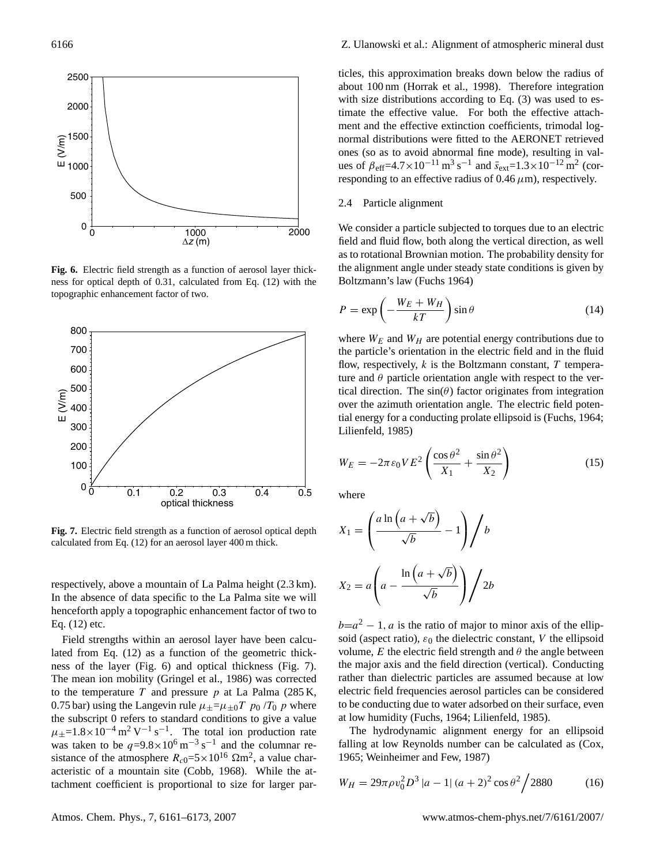

**Fig. 6.** Electric field strength as a function of aerosol layer thickness for optical depth of 0.31, calculated from Eq. (12) with the topographic enhancement factor of two.



**Fig. 7.** Electric field strength as a function of aerosol optical depth calculated from Eq. (12) for an aerosol layer 400 m thick.

respectively, above a mountain of La Palma height (2.3 km). In the absence of data specific to the La Palma site we will henceforth apply a topographic enhancement factor of two to Eq. (12) etc.

Field strengths within an aerosol layer have been calculated from Eq. (12) as a function of the geometric thickness of the layer (Fig. 6) and optical thickness (Fig. 7). The mean ion mobility (Gringel et al., 1986) was corrected to the temperature  $T$  and pressure  $p$  at La Palma (285 K, 0.75 bar) using the Langevin rule  $\mu_{\pm} = \mu_{\pm 0} T p_0 / T_0 p$  where the subscript 0 refers to standard conditions to give a value  $\mu_{\pm}$ =1.8×10<sup>-4</sup> m<sup>2</sup> V<sup>-1</sup> s<sup>-1</sup>. The total ion production rate was taken to be  $q=9.8\times10^6$  m<sup>-3</sup> s<sup>-1</sup> and the columnar resistance of the atmosphere  $R_{c0} = 5 \times 10^{16} \Omega \text{m}^2$ , a value characteristic of a mountain site (Cobb, 1968). While the attachment coefficient is proportional to size for larger particles, this approximation breaks down below the radius of about 100 nm (Horrak et al., 1998). Therefore integration with size distributions according to Eq.  $(3)$  was used to estimate the effective value. For both the effective attachment and the effective extinction coefficients, trimodal lognormal distributions were fitted to the AERONET retrieved ones (so as to avoid abnormal fine mode), resulting in values of  $\beta_{\text{eff}}$ =4.7×10<sup>-11</sup> m<sup>3</sup> s<sup>-1</sup> and  $\bar{s}_{\text{ext}}$ =1.3×10<sup>-12</sup> m<sup>2</sup> (corresponding to an effective radius of  $0.46 \mu m$ ), respectively.

#### 2.4 Particle alignment

We consider a particle subjected to torques due to an electric field and fluid flow, both along the vertical direction, as well as to rotational Brownian motion. The probability density for the alignment angle under steady state conditions is given by Boltzmann's law (Fuchs 1964)

$$
P = \exp\left(-\frac{W_E + W_H}{kT}\right)\sin\theta\tag{14}
$$

where  $W_E$  and  $W_H$  are potential energy contributions due to the particle's orientation in the electric field and in the fluid flow, respectively,  $k$  is the Boltzmann constant,  $T$  temperature and  $\theta$  particle orientation angle with respect to the vertical direction. The  $sin(\theta)$  factor originates from integration over the azimuth orientation angle. The electric field potential energy for a conducting prolate ellipsoid is (Fuchs, 1964; Lilienfeld, 1985)

$$
W_E = -2\pi \varepsilon_0 V E^2 \left( \frac{\cos \theta^2}{X_1} + \frac{\sin \theta^2}{X_2} \right) \tag{15}
$$

where

$$
X_1 = \left(\frac{a \ln\left(a + \sqrt{b}\right)}{\sqrt{b}} - 1\right) / b
$$

$$
X_2 = a \left(a - \frac{\ln\left(a + \sqrt{b}\right)}{\sqrt{b}}\right) / 2b
$$

 $b=a^2-1$ , *a* is the ratio of major to minor axis of the ellipsoid (aspect ratio),  $\varepsilon_0$  the dielectric constant, V the ellipsoid volume, E the electric field strength and  $\theta$  the angle between the major axis and the field direction (vertical). Conducting rather than dielectric particles are assumed because at low electric field frequencies aerosol particles can be considered to be conducting due to water adsorbed on their surface, even at low humidity (Fuchs, 1964; Lilienfeld, 1985).

The hydrodynamic alignment energy for an ellipsoid falling at low Reynolds number can be calculated as (Cox, 1965; Weinheimer and Few, 1987)

$$
W_H = 29\pi \rho v_0^2 D^3 |a - 1| (a + 2)^2 \cos \theta^2 / 2880
$$
 (16)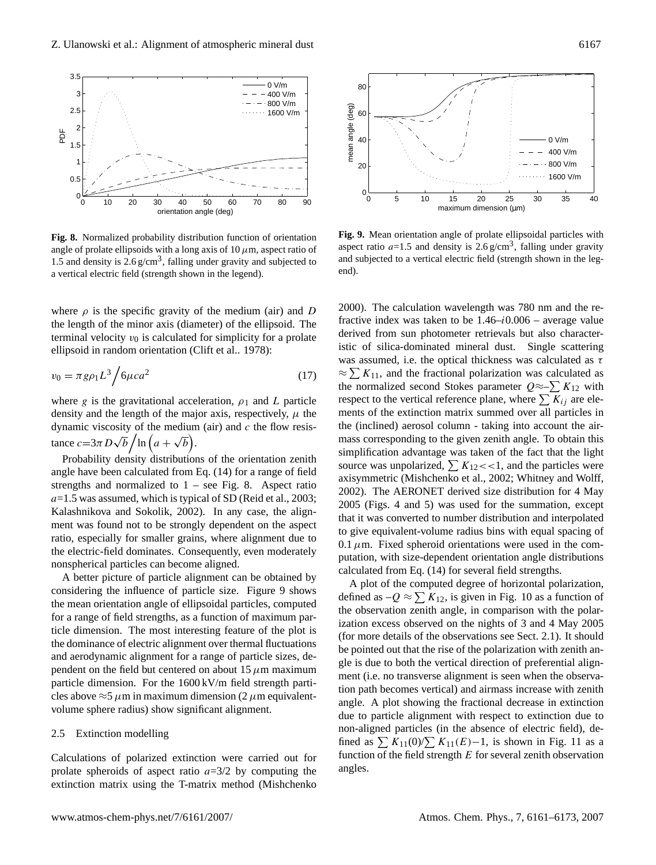

**Fig. 8.** Normalized probability distribution function of orientation angle of prolate ellipsoids with a long axis of  $10 \mu$ m, aspect ratio of 1.5 and density is  $2.6 \text{ g/cm}^3$ , falling under gravity and subjected to a vertical electric field (strength shown in the legend).

where  $\rho$  is the specific gravity of the medium (air) and D the length of the minor axis (diameter) of the ellipsoid. The terminal velocity  $v_0$  is calculated for simplicity for a prolate ellipsoid in random orientation (Clift et al.. 1978):

$$
v_0 = \pi g \rho_1 L^3 / 6\mu c a^2 \tag{17}
$$

where g is the gravitational acceleration,  $\rho_1$  and L particle density and the length of the major axis, respectively,  $\mu$  the dynamic viscosity of the medium (air) and  $c$  the flow resistance  $c=3\pi D\sqrt{b}\Big/\ln\Big(a+\sqrt{b}\Big).$ 

Probability density distributions of the orientation zenith angle have been calculated from Eq. (14) for a range of field strengths and normalized to  $1 - \text{see Fig. 8}$ . Aspect ratio  $a=1.5$  was assumed, which is typical of SD (Reid et al., 2003; Kalashnikova and Sokolik, 2002). In any case, the alignment was found not to be strongly dependent on the aspect ratio, especially for smaller grains, where alignment due to the electric-field dominates. Consequently, even moderately nonspherical particles can become aligned.

A better picture of particle alignment can be obtained by considering the influence of particle size. Figure 9 shows the mean orientation angle of ellipsoidal particles, computed for a range of field strengths, as a function of maximum particle dimension. The most interesting feature of the plot is the dominance of electric alignment over thermal fluctuations and aerodynamic alignment for a range of particle sizes, dependent on the field but centered on about 15  $\mu$ m maximum particle dimension. For the 1600 kV/m field strength particles above  $\approx$ 5  $\mu$ m in maximum dimension (2  $\mu$ m equivalentvolume sphere radius) show significant alignment.

### 2.5 Extinction modelling

Calculations of polarized extinction were carried out for prolate spheroids of aspect ratio  $a=3/2$  by computing the extinction matrix using the T-matrix method (Mishchenko



**Fig. 9.** Mean orientation angle of prolate ellipsoidal particles with aspect ratio  $a=1.5$  and density is 2.6 g/cm<sup>3</sup>, falling under gravity and subjected to a vertical electric field (strength shown in the legend).

2000). The calculation wavelength was 780 nm and the refractive index was taken to be  $1.46-i0.006$  – average value derived from sun photometer retrievals but also characteristic of silica-dominated mineral dust. Single scattering was assumed, i.e. the optical thickness was calculated as  $\tau$  $\approx \sum K_{11}$ , and the fractional polarization was calculated as the normalized second Stokes parameter  $Q \approx \sum K_{12}$  with respect to the vertical reference plane, where  $\sum K_{ij}$  are elements of the extinction matrix summed over all particles in the (inclined) aerosol column - taking into account the airmass corresponding to the given zenith angle. To obtain this simplification advantage was taken of the fact that the light source was unpolarized,  $\sum K_{12} \ll 1$ , and the particles were axisymmetric (Mishchenko et al., 2002; Whitney and Wolff, 2002). The AERONET derived size distribution for 4 May 2005 (Figs. 4 and 5) was used for the summation, except that it was converted to number distribution and interpolated to give equivalent-volume radius bins with equal spacing of 0.1  $\mu$ m. Fixed spheroid orientations were used in the computation, with size-dependent orientation angle distributions calculated from Eq. (14) for several field strengths.

A plot of the computed degree of horizontal polarization, defined as  $-Q \approx \sum K_{12}$ , is given in Fig. 10 as a function of the observation zenith angle, in comparison with the polarization excess observed on the nights of 3 and 4 May 2005 (for more details of the observations see Sect. 2.1). It should be pointed out that the rise of the polarization with zenith angle is due to both the vertical direction of preferential alignment (i.e. no transverse alignment is seen when the observation path becomes vertical) and airmass increase with zenith angle. A plot showing the fractional decrease in extinction due to particle alignment with respect to extinction due to non-aligned particles (in the absence of electric field), defined as  $\sum K_{11}(0)/\sum K_{11}(E)-1$ , is shown in Fig. 11 as a function of the field strength  $E$  for several zenith observation angles.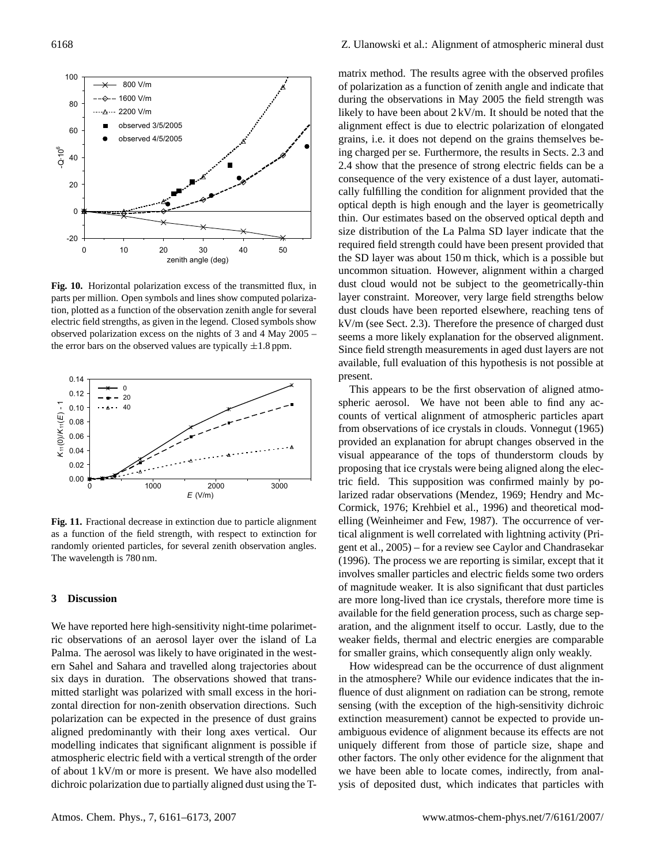

**Fig. 10.** Horizontal polarization excess of the transmitted flux, in parts per million. Open symbols and lines show computed polarization, plotted as a function of the observation zenith angle for several electric field strengths, as given in the legend. Closed symbols show observed polarization excess on the nights of 3 and 4 May 2005 – the error bars on the observed values are typically  $\pm 1.8$  ppm.



**Fig. 11.** Fractional decrease in extinction due to particle alignment as a function of the field strength, with respect to extinction for randomly oriented particles, for several zenith observation angles. The wavelength is 780 nm.

# **3 Discussion**

We have reported here high-sensitivity night-time polarimetric observations of an aerosol layer over the island of La Palma. The aerosol was likely to have originated in the western Sahel and Sahara and travelled along trajectories about six days in duration. The observations showed that transmitted starlight was polarized with small excess in the horizontal direction for non-zenith observation directions. Such polarization can be expected in the presence of dust grains aligned predominantly with their long axes vertical. Our modelling indicates that significant alignment is possible if atmospheric electric field with a vertical strength of the order of about 1 kV/m or more is present. We have also modelled dichroic polarization due to partially aligned dust using the T- matrix method. The results agree with the observed profiles of polarization as a function of zenith angle and indicate that during the observations in May 2005 the field strength was likely to have been about 2 kV/m. It should be noted that the alignment effect is due to electric polarization of elongated grains, i.e. it does not depend on the grains themselves being charged per se. Furthermore, the results in Sects. 2.3 and 2.4 show that the presence of strong electric fields can be a consequence of the very existence of a dust layer, automatically fulfilling the condition for alignment provided that the optical depth is high enough and the layer is geometrically thin. Our estimates based on the observed optical depth and size distribution of the La Palma SD layer indicate that the required field strength could have been present provided that the SD layer was about 150 m thick, which is a possible but uncommon situation. However, alignment within a charged dust cloud would not be subject to the geometrically-thin layer constraint. Moreover, very large field strengths below dust clouds have been reported elsewhere, reaching tens of kV/m (see Sect. 2.3). Therefore the presence of charged dust seems a more likely explanation for the observed alignment. Since field strength measurements in aged dust layers are not available, full evaluation of this hypothesis is not possible at present.

This appears to be the first observation of aligned atmospheric aerosol. We have not been able to find any accounts of vertical alignment of atmospheric particles apart from observations of ice crystals in clouds. Vonnegut (1965) provided an explanation for abrupt changes observed in the visual appearance of the tops of thunderstorm clouds by proposing that ice crystals were being aligned along the electric field. This supposition was confirmed mainly by polarized radar observations (Mendez, 1969; Hendry and Mc-Cormick, 1976; Krehbiel et al., 1996) and theoretical modelling (Weinheimer and Few, 1987). The occurrence of vertical alignment is well correlated with lightning activity (Prigent et al., 2005) – for a review see Caylor and Chandrasekar (1996). The process we are reporting is similar, except that it involves smaller particles and electric fields some two orders of magnitude weaker. It is also significant that dust particles are more long-lived than ice crystals, therefore more time is available for the field generation process, such as charge separation, and the alignment itself to occur. Lastly, due to the weaker fields, thermal and electric energies are comparable for smaller grains, which consequently align only weakly.

How widespread can be the occurrence of dust alignment in the atmosphere? While our evidence indicates that the influence of dust alignment on radiation can be strong, remote sensing (with the exception of the high-sensitivity dichroic extinction measurement) cannot be expected to provide unambiguous evidence of alignment because its effects are not uniquely different from those of particle size, shape and other factors. The only other evidence for the alignment that we have been able to locate comes, indirectly, from analysis of deposited dust, which indicates that particles with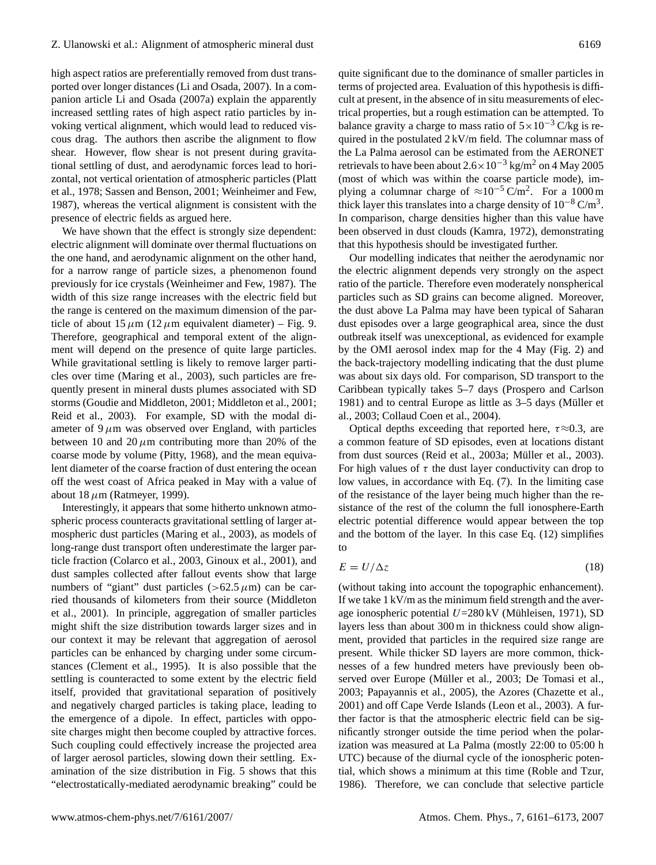high aspect ratios are preferentially removed from dust transported over longer distances (Li and Osada, 2007). In a companion article Li and Osada (2007a) explain the apparently increased settling rates of high aspect ratio particles by invoking vertical alignment, which would lead to reduced viscous drag. The authors then ascribe the alignment to flow shear. However, flow shear is not present during gravitational settling of dust, and aerodynamic forces lead to horizontal, not vertical orientation of atmospheric particles (Platt et al., 1978; Sassen and Benson, 2001; Weinheimer and Few, 1987), whereas the vertical alignment is consistent with the presence of electric fields as argued here.

We have shown that the effect is strongly size dependent: electric alignment will dominate over thermal fluctuations on the one hand, and aerodynamic alignment on the other hand, for a narrow range of particle sizes, a phenomenon found previously for ice crystals (Weinheimer and Few, 1987). The width of this size range increases with the electric field but the range is centered on the maximum dimension of the particle of about 15  $\mu$ m (12  $\mu$ m equivalent diameter) – Fig. 9. Therefore, geographical and temporal extent of the alignment will depend on the presence of quite large particles. While gravitational settling is likely to remove larger particles over time (Maring et al., 2003), such particles are frequently present in mineral dusts plumes associated with SD storms (Goudie and Middleton, 2001; Middleton et al., 2001; Reid et al., 2003). For example, SD with the modal diameter of  $9 \mu m$  was observed over England, with particles between 10 and 20  $\mu$ m contributing more than 20% of the coarse mode by volume (Pitty, 1968), and the mean equivalent diameter of the coarse fraction of dust entering the ocean off the west coast of Africa peaked in May with a value of about 18  $\mu$ m (Ratmeyer, 1999).

Interestingly, it appears that some hitherto unknown atmospheric process counteracts gravitational settling of larger atmospheric dust particles (Maring et al., 2003), as models of long-range dust transport often underestimate the larger particle fraction (Colarco et al., 2003, Ginoux et al., 2001), and dust samples collected after fallout events show that large numbers of "giant" dust particles ( $>62.5 \mu$ m) can be carried thousands of kilometers from their source (Middleton et al., 2001). In principle, aggregation of smaller particles might shift the size distribution towards larger sizes and in our context it may be relevant that aggregation of aerosol particles can be enhanced by charging under some circumstances (Clement et al., 1995). It is also possible that the settling is counteracted to some extent by the electric field itself, provided that gravitational separation of positively and negatively charged particles is taking place, leading to the emergence of a dipole. In effect, particles with opposite charges might then become coupled by attractive forces. Such coupling could effectively increase the projected area of larger aerosol particles, slowing down their settling. Examination of the size distribution in Fig. 5 shows that this "electrostatically-mediated aerodynamic breaking" could be

quite significant due to the dominance of smaller particles in terms of projected area. Evaluation of this hypothesis is difficult at present, in the absence of in situ measurements of electrical properties, but a rough estimation can be attempted. To balance gravity a charge to mass ratio of  $5 \times 10^{-3}$  C/kg is required in the postulated 2 kV/m field. The columnar mass of the La Palma aerosol can be estimated from the AERONET retrievals to have been about  $2.6 \times 10^{-3}$  kg/m<sup>2</sup> on 4 May 2005 (most of which was within the coarse particle mode), implying a columnar charge of  $\approx 10^{-5} \text{ C/m}^2$ . For a 1000 m thick layer this translates into a charge density of  $10^{-8}$  C/m<sup>3</sup>. In comparison, charge densities higher than this value have been observed in dust clouds (Kamra, 1972), demonstrating that this hypothesis should be investigated further.

Our modelling indicates that neither the aerodynamic nor the electric alignment depends very strongly on the aspect ratio of the particle. Therefore even moderately nonspherical particles such as SD grains can become aligned. Moreover, the dust above La Palma may have been typical of Saharan dust episodes over a large geographical area, since the dust outbreak itself was unexceptional, as evidenced for example by the OMI aerosol index map for the 4 May (Fig. 2) and the back-trajectory modelling indicating that the dust plume was about six days old. For comparison, SD transport to the Caribbean typically takes 5–7 days (Prospero and Carlson 1981) and to central Europe as little as  $3-5$  days (Müller et al., 2003; Collaud Coen et al., 2004).

Optical depths exceeding that reported here,  $\tau \approx 0.3$ , are a common feature of SD episodes, even at locations distant from dust sources (Reid et al., 2003a; Müller et al., 2003). For high values of  $\tau$  the dust layer conductivity can drop to low values, in accordance with Eq. (7). In the limiting case of the resistance of the layer being much higher than the resistance of the rest of the column the full ionosphere-Earth electric potential difference would appear between the top and the bottom of the layer. In this case Eq. (12) simplifies to

$$
E = U/\Delta z \tag{18}
$$

(without taking into account the topographic enhancement). If we take 1 kV/m as the minimum field strength and the average ionospheric potential  $U=280 \text{ kV}$  (Mühleisen, 1971), SD layers less than about 300 m in thickness could show alignment, provided that particles in the required size range are present. While thicker SD layers are more common, thicknesses of a few hundred meters have previously been observed over Europe (Müller et al., 2003; De Tomasi et al., 2003; Papayannis et al., 2005), the Azores (Chazette et al., 2001) and off Cape Verde Islands (Leon et al., 2003). A further factor is that the atmospheric electric field can be significantly stronger outside the time period when the polarization was measured at La Palma (mostly 22:00 to 05:00 h UTC) because of the diurnal cycle of the ionospheric potential, which shows a minimum at this time (Roble and Tzur, 1986). Therefore, we can conclude that selective particle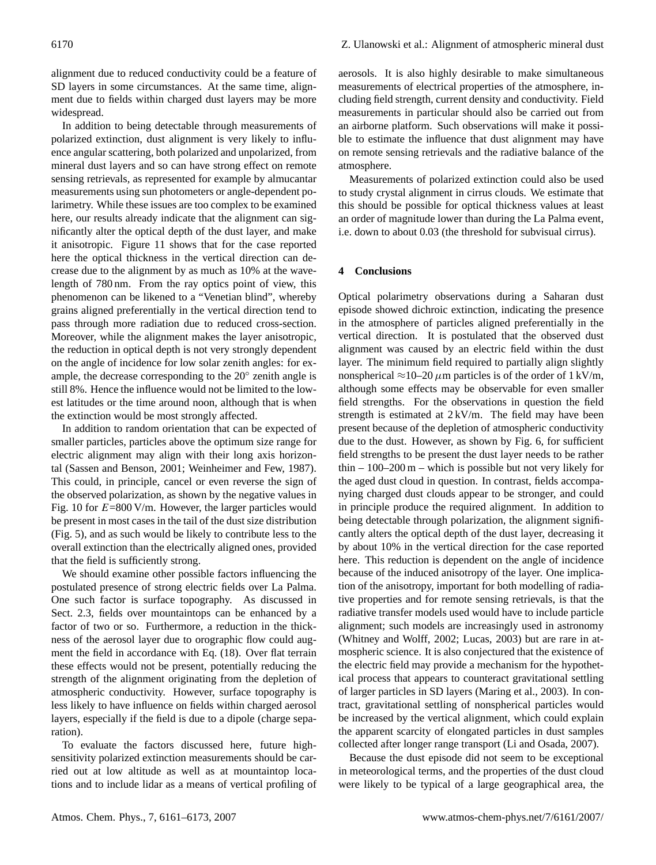alignment due to reduced conductivity could be a feature of SD layers in some circumstances. At the same time, alignment due to fields within charged dust layers may be more widespread.

In addition to being detectable through measurements of polarized extinction, dust alignment is very likely to influence angular scattering, both polarized and unpolarized, from mineral dust layers and so can have strong effect on remote sensing retrievals, as represented for example by almucantar measurements using sun photometers or angle-dependent polarimetry. While these issues are too complex to be examined here, our results already indicate that the alignment can significantly alter the optical depth of the dust layer, and make it anisotropic. Figure 11 shows that for the case reported here the optical thickness in the vertical direction can decrease due to the alignment by as much as 10% at the wavelength of 780 nm. From the ray optics point of view, this phenomenon can be likened to a "Venetian blind", whereby grains aligned preferentially in the vertical direction tend to pass through more radiation due to reduced cross-section. Moreover, while the alignment makes the layer anisotropic, the reduction in optical depth is not very strongly dependent on the angle of incidence for low solar zenith angles: for example, the decrease corresponding to the 20◦ zenith angle is still 8%. Hence the influence would not be limited to the lowest latitudes or the time around noon, although that is when the extinction would be most strongly affected.

In addition to random orientation that can be expected of smaller particles, particles above the optimum size range for electric alignment may align with their long axis horizontal (Sassen and Benson, 2001; Weinheimer and Few, 1987). This could, in principle, cancel or even reverse the sign of the observed polarization, as shown by the negative values in Fig. 10 for  $E=800$  V/m. However, the larger particles would be present in most cases in the tail of the dust size distribution (Fig. 5), and as such would be likely to contribute less to the overall extinction than the electrically aligned ones, provided that the field is sufficiently strong.

We should examine other possible factors influencing the postulated presence of strong electric fields over La Palma. One such factor is surface topography. As discussed in Sect. 2.3, fields over mountaintops can be enhanced by a factor of two or so. Furthermore, a reduction in the thickness of the aerosol layer due to orographic flow could augment the field in accordance with Eq. (18). Over flat terrain these effects would not be present, potentially reducing the strength of the alignment originating from the depletion of atmospheric conductivity. However, surface topography is less likely to have influence on fields within charged aerosol layers, especially if the field is due to a dipole (charge separation).

To evaluate the factors discussed here, future highsensitivity polarized extinction measurements should be carried out at low altitude as well as at mountaintop locations and to include lidar as a means of vertical profiling of

aerosols. It is also highly desirable to make simultaneous measurements of electrical properties of the atmosphere, including field strength, current density and conductivity. Field measurements in particular should also be carried out from an airborne platform. Such observations will make it possible to estimate the influence that dust alignment may have on remote sensing retrievals and the radiative balance of the atmosphere.

Measurements of polarized extinction could also be used to study crystal alignment in cirrus clouds. We estimate that this should be possible for optical thickness values at least an order of magnitude lower than during the La Palma event, i.e. down to about 0.03 (the threshold for subvisual cirrus).

# **4 Conclusions**

Optical polarimetry observations during a Saharan dust episode showed dichroic extinction, indicating the presence in the atmosphere of particles aligned preferentially in the vertical direction. It is postulated that the observed dust alignment was caused by an electric field within the dust layer. The minimum field required to partially align slightly nonspherical  $\approx$ 10–20  $\mu$ m particles is of the order of 1 kV/m, although some effects may be observable for even smaller field strengths. For the observations in question the field strength is estimated at  $2 \frac{kV}{m}$ . The field may have been present because of the depletion of atmospheric conductivity due to the dust. However, as shown by Fig. 6, for sufficient field strengths to be present the dust layer needs to be rather thin  $-100-200$  m – which is possible but not very likely for the aged dust cloud in question. In contrast, fields accompanying charged dust clouds appear to be stronger, and could in principle produce the required alignment. In addition to being detectable through polarization, the alignment significantly alters the optical depth of the dust layer, decreasing it by about 10% in the vertical direction for the case reported here. This reduction is dependent on the angle of incidence because of the induced anisotropy of the layer. One implication of the anisotropy, important for both modelling of radiative properties and for remote sensing retrievals, is that the radiative transfer models used would have to include particle alignment; such models are increasingly used in astronomy (Whitney and Wolff, 2002; Lucas, 2003) but are rare in atmospheric science. It is also conjectured that the existence of the electric field may provide a mechanism for the hypothetical process that appears to counteract gravitational settling of larger particles in SD layers (Maring et al., 2003). In contract, gravitational settling of nonspherical particles would be increased by the vertical alignment, which could explain the apparent scarcity of elongated particles in dust samples collected after longer range transport (Li and Osada, 2007).

Because the dust episode did not seem to be exceptional in meteorological terms, and the properties of the dust cloud were likely to be typical of a large geographical area, the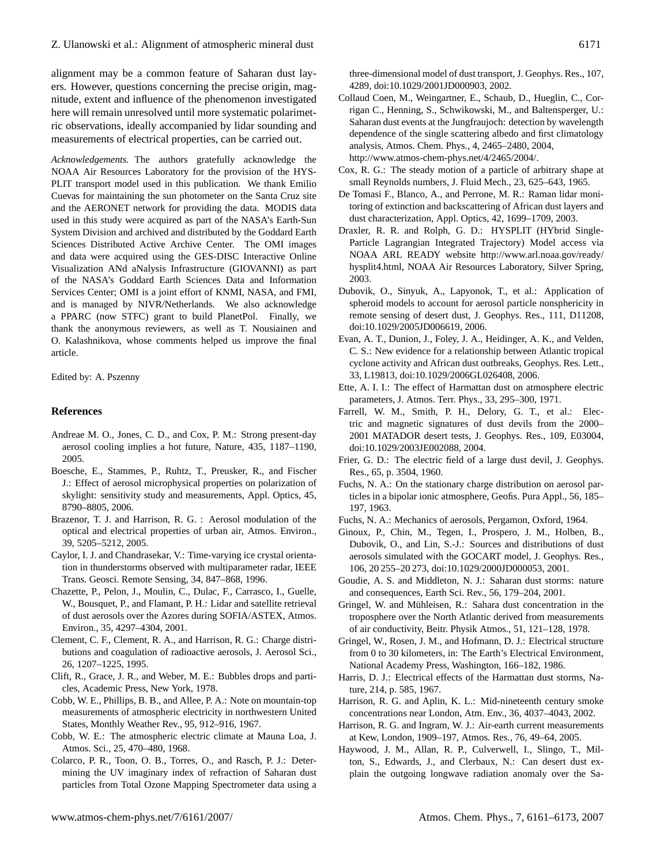alignment may be a common feature of Saharan dust layers. However, questions concerning the precise origin, magnitude, extent and influence of the phenomenon investigated here will remain unresolved until more systematic polarimetric observations, ideally accompanied by lidar sounding and measurements of electrical properties, can be carried out.

*Acknowledgements.* The authors gratefully acknowledge the NOAA Air Resources Laboratory for the provision of the HYS-PLIT transport model used in this publication. We thank Emilio Cuevas for maintaining the sun photometer on the Santa Cruz site and the AERONET network for providing the data. MODIS data used in this study were acquired as part of the NASA's Earth-Sun System Division and archived and distributed by the Goddard Earth Sciences Distributed Active Archive Center. The OMI images and data were acquired using the GES-DISC Interactive Online Visualization ANd aNalysis Infrastructure (GIOVANNI) as part of the NASA's Goddard Earth Sciences Data and Information Services Center; OMI is a joint effort of KNMI, NASA, and FMI, and is managed by NIVR/Netherlands. We also acknowledge a PPARC (now STFC) grant to build PlanetPol. Finally, we thank the anonymous reviewers, as well as T. Nousiainen and O. Kalashnikova, whose comments helped us improve the final article.

Edited by: A. Pszenny

### **References**

- Andreae M. O., Jones, C. D., and Cox, P. M.: Strong present-day aerosol cooling implies a hot future, Nature, 435, 1187–1190, 2005.
- Boesche, E., Stammes, P., Ruhtz, T., Preusker, R., and Fischer J.: Effect of aerosol microphysical properties on polarization of skylight: sensitivity study and measurements, Appl. Optics, 45, 8790–8805, 2006.
- Brazenor, T. J. and Harrison, R. G. : Aerosol modulation of the optical and electrical properties of urban air, Atmos. Environ., 39, 5205–5212, 2005.
- Caylor, I. J. and Chandrasekar, V.: Time-varying ice crystal orientation in thunderstorms observed with multiparameter radar, IEEE Trans. Geosci. Remote Sensing, 34, 847–868, 1996.
- Chazette, P., Pelon, J., Moulin, C., Dulac, F., Carrasco, I., Guelle, W., Bousquet, P., and Flamant, P. H.: Lidar and satellite retrieval of dust aerosols over the Azores during SOFIA/ASTEX, Atmos. Environ., 35, 4297–4304, 2001.
- Clement, C. F., Clement, R. A., and Harrison, R. G.: Charge distributions and coagulation of radioactive aerosols, J. Aerosol Sci., 26, 1207–1225, 1995.
- Clift, R., Grace, J. R., and Weber, M. E.: Bubbles drops and particles, Academic Press, New York, 1978.
- Cobb, W. E., Phillips, B. B., and Allee, P. A.: Note on mountain-top measurements of atmospheric electricity in northwestern United States, Monthly Weather Rev., 95, 912–916, 1967.
- Cobb, W. E.: The atmospheric electric climate at Mauna Loa, J. Atmos. Sci., 25, 470–480, 1968.
- Colarco, P. R., Toon, O. B., Torres, O., and Rasch, P. J.: Determining the UV imaginary index of refraction of Saharan dust particles from Total Ozone Mapping Spectrometer data using a

three-dimensional model of dust transport, J. Geophys. Res., 107, 4289, doi:10.1029/2001JD000903, 2002.

- Collaud Coen, M., Weingartner, E., Schaub, D., Hueglin, C., Corrigan C., Henning, S., Schwikowski, M., and Baltensperger, U.: Saharan dust events at the Jungfraujoch: detection by wavelength dependence of the single scattering albedo and first climatology analysis, Atmos. Chem. Phys., 4, 2465–2480, 2004, [http://www.atmos-chem-phys.net/4/2465/2004/.](http://www.atmos-chem-phys.net/4/2465/2004/)
- Cox, R. G.: The steady motion of a particle of arbitrary shape at small Reynolds numbers, J. Fluid Mech., 23, 625–643, 1965.
- De Tomasi F., Blanco, A., and Perrone, M. R.: Raman lidar monitoring of extinction and backscattering of African dust layers and dust characterization, Appl. Optics, 42, 1699–1709, 2003.
- Draxler, R. R. and Rolph, G. D.: HYSPLIT (HYbrid Single-Particle Lagrangian Integrated Trajectory) Model access via NOAA ARL READY website [http://www.arl.noaa.gov/ready/](http://www.arl.noaa.gov/ready/hysplit4.html) [hysplit4.html,](http://www.arl.noaa.gov/ready/hysplit4.html) NOAA Air Resources Laboratory, Silver Spring, 2003.
- Dubovik, O., Sinyuk, A., Lapyonok, T., et al.: Application of spheroid models to account for aerosol particle nonsphericity in remote sensing of desert dust, J. Geophys. Res., 111, D11208, doi:10.1029/2005JD006619, 2006.
- Evan, A. T., Dunion, J., Foley, J. A., Heidinger, A. K., and Velden, C. S.: New evidence for a relationship between Atlantic tropical cyclone activity and African dust outbreaks, Geophys. Res. Lett., 33, L19813, doi:10.1029/2006GL026408, 2006.
- Ette, A. I. I.: The effect of Harmattan dust on atmosphere electric parameters, J. Atmos. Terr. Phys., 33, 295–300, 1971.
- Farrell, W. M., Smith, P. H., Delory, G. T., et al.: Electric and magnetic signatures of dust devils from the 2000– 2001 MATADOR desert tests, J. Geophys. Res., 109, E03004, doi:10.1029/2003JE002088, 2004.
- Frier, G. D.: The electric field of a large dust devil, J. Geophys. Res., 65, p. 3504, 1960.
- Fuchs, N. A.: On the stationary charge distribution on aerosol particles in a bipolar ionic atmosphere, Geofis. Pura Appl., 56, 185– 197, 1963.
- Fuchs, N. A.: Mechanics of aerosols, Pergamon, Oxford, 1964.
- Ginoux, P., Chin, M., Tegen, I., Prospero, J. M., Holben, B., Dubovik, O., and Lin, S.-J.: Sources and distributions of dust aerosols simulated with the GOCART model, J. Geophys. Res., 106, 20 255–20 273, doi:10.1029/2000JD000053, 2001.
- Goudie, A. S. and Middleton, N. J.: Saharan dust storms: nature and consequences, Earth Sci. Rev., 56, 179–204, 2001.
- Gringel, W. and Mühleisen, R.: Sahara dust concentration in the troposphere over the North Atlantic derived from measurements of air conductivity, Beitr. Physik Atmos., 51, 121–128, 1978.
- Gringel, W., Rosen, J. M., and Hofmann, D. J.: Electrical structure from 0 to 30 kilometers, in: The Earth's Electrical Environment, National Academy Press, Washington, 166–182, 1986.
- Harris, D. J.: Electrical effects of the Harmattan dust storms, Nature, 214, p. 585, 1967.
- Harrison, R. G. and Aplin, K. L.: Mid-nineteenth century smoke concentrations near London, Atm. Env., 36, 4037–4043, 2002.
- Harrison, R. G. and Ingram, W. J.: Air-earth current measurements at Kew, London, 1909–197, Atmos. Res., 76, 49–64, 2005.
- Haywood, J. M., Allan, R. P., Culverwell, I., Slingo, T., Milton, S., Edwards, J., and Clerbaux, N.: Can desert dust explain the outgoing longwave radiation anomaly over the Sa-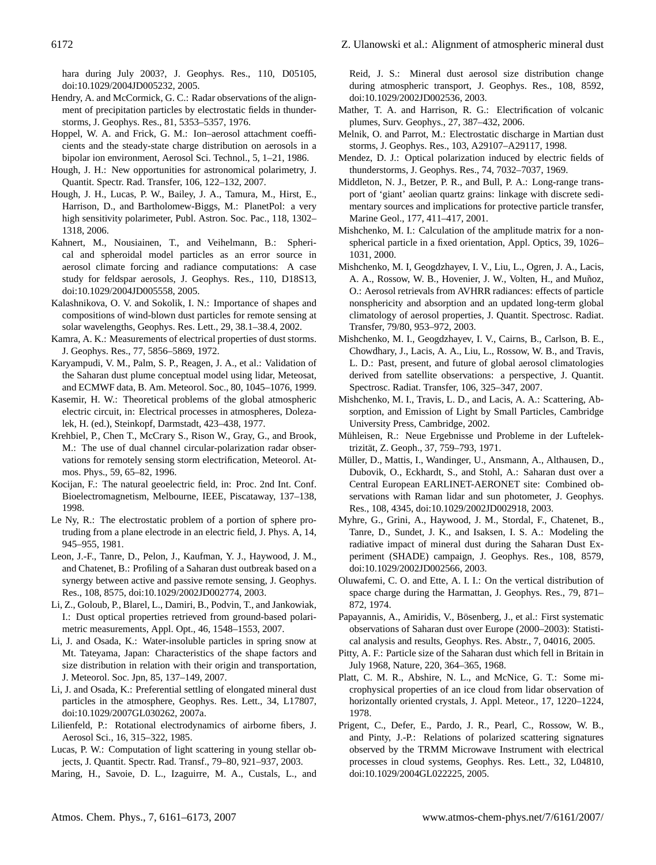hara during July 2003?, J. Geophys. Res., 110, D05105, doi:10.1029/2004JD005232, 2005.

- Hendry, A. and McCormick, G. C.: Radar observations of the alignment of precipitation particles by electrostatic fields in thunderstorms, J. Geophys. Res., 81, 5353–5357, 1976.
- Hoppel, W. A. and Frick, G. M.: Ion–aerosol attachment coefficients and the steady-state charge distribution on aerosols in a bipolar ion environment, Aerosol Sci. Technol., 5, 1–21, 1986.
- Hough, J. H.: New opportunities for astronomical polarimetry, J. Quantit. Spectr. Rad. Transfer, 106, 122–132, 2007.
- Hough, J. H., Lucas, P. W., Bailey, J. A., Tamura, M., Hirst, E., Harrison, D., and Bartholomew-Biggs, M.: PlanetPol: a very high sensitivity polarimeter, Publ. Astron. Soc. Pac., 118, 1302– 1318, 2006.
- Kahnert, M., Nousiainen, T., and Veihelmann, B.: Spherical and spheroidal model particles as an error source in aerosol climate forcing and radiance computations: A case study for feldspar aerosols, J. Geophys. Res., 110, D18S13, doi:10.1029/2004JD005558, 2005.
- Kalashnikova, O. V. and Sokolik, I. N.: Importance of shapes and compositions of wind-blown dust particles for remote sensing at solar wavelengths, Geophys. Res. Lett., 29, 38.1–38.4, 2002.
- Kamra, A. K.: Measurements of electrical properties of dust storms. J. Geophys. Res., 77, 5856–5869, 1972.
- Karyampudi, V. M., Palm, S. P., Reagen, J. A., et al.: Validation of the Saharan dust plume conceptual model using lidar, Meteosat, and ECMWF data, B. Am. Meteorol. Soc., 80, 1045–1076, 1999.
- Kasemir, H. W.: Theoretical problems of the global atmospheric electric circuit, in: Electrical processes in atmospheres, Dolezalek, H. (ed.), Steinkopf, Darmstadt, 423–438, 1977.
- Krehbiel, P., Chen T., McCrary S., Rison W., Gray, G., and Brook, M.: The use of dual channel circular-polarization radar observations for remotely sensing storm electrification, Meteorol. Atmos. Phys., 59, 65–82, 1996.
- Kocijan, F.: The natural geoelectric field, in: Proc. 2nd Int. Conf. Bioelectromagnetism, Melbourne, IEEE, Piscataway, 137–138, 1998.
- Le Ny, R.: The electrostatic problem of a portion of sphere protruding from a plane electrode in an electric field, J. Phys. A, 14, 945–955, 1981.
- Leon, J.-F., Tanre, D., Pelon, J., Kaufman, Y. J., Haywood, J. M., and Chatenet, B.: Profiling of a Saharan dust outbreak based on a synergy between active and passive remote sensing, J. Geophys. Res., 108, 8575, doi:10.1029/2002JD002774, 2003.
- Li, Z., Goloub, P., Blarel, L., Damiri, B., Podvin, T., and Jankowiak, I.: Dust optical properties retrieved from ground-based polarimetric measurements, Appl. Opt., 46, 1548–1553, 2007.
- Li, J. and Osada, K.: Water-insoluble particles in spring snow at Mt. Tateyama, Japan: Characteristics of the shape factors and size distribution in relation with their origin and transportation, J. Meteorol. Soc. Jpn, 85, 137–149, 2007.
- Li, J. and Osada, K.: Preferential settling of elongated mineral dust particles in the atmosphere, Geophys. Res. Lett., 34, L17807, doi:10.1029/2007GL030262, 2007a.
- Lilienfeld, P.: Rotational electrodynamics of airborne fibers, J. Aerosol Sci., 16, 315–322, 1985.
- Lucas, P. W.: Computation of light scattering in young stellar objects, J. Quantit. Spectr. Rad. Transf., 79–80, 921–937, 2003.
- Maring, H., Savoie, D. L., Izaguirre, M. A., Custals, L., and

Reid, J. S.: Mineral dust aerosol size distribution change during atmospheric transport, J. Geophys. Res., 108, 8592, doi:10.1029/2002JD002536, 2003.

- Mather, T. A. and Harrison, R. G.: Electrification of volcanic plumes, Surv. Geophys., 27, 387–432, 2006.
- Melnik, O. and Parrot, M.: Electrostatic discharge in Martian dust storms, J. Geophys. Res., 103, A29107–A29117, 1998.
- Mendez, D. J.: Optical polarization induced by electric fields of thunderstorms, J. Geophys. Res., 74, 7032–7037, 1969.
- Middleton, N. J., Betzer, P. R., and Bull, P. A.: Long-range transport of 'giant' aeolian quartz grains: linkage with discrete sedimentary sources and implications for protective particle transfer, Marine Geol., 177, 411–417, 2001.
- Mishchenko, M. I.: Calculation of the amplitude matrix for a nonspherical particle in a fixed orientation, Appl. Optics, 39, 1026– 1031, 2000.
- Mishchenko, M. I, Geogdzhayev, I. V., Liu, L., Ogren, J. A., Lacis, A. A., Rossow, W. B., Hovenier, J. W., Volten, H., and Muñoz, O.: Aerosol retrievals from AVHRR radiances: effects of particle nonsphericity and absorption and an updated long-term global climatology of aerosol properties, J. Quantit. Spectrosc. Radiat. Transfer, 79/80, 953–972, 2003.
- Mishchenko, M. I., Geogdzhayev, I. V., Cairns, B., Carlson, B. E., Chowdhary, J., Lacis, A. A., Liu, L., Rossow, W. B., and Travis, L. D.: Past, present, and future of global aerosol climatologies derived from satellite observations: a perspective, J. Quantit. Spectrosc. Radiat. Transfer, 106, 325–347, 2007.
- Mishchenko, M. I., Travis, L. D., and Lacis, A. A.: Scattering, Absorption, and Emission of Light by Small Particles, Cambridge University Press, Cambridge, 2002.
- Mühleisen, R.: Neue Ergebnisse und Probleme in der Luftelektrizitat, Z. Geoph., 37, 759–793, 1971. ¨
- Müller, D., Mattis, I., Wandinger, U., Ansmann, A., Althausen, D., Dubovik, O., Eckhardt, S., and Stohl, A.: Saharan dust over a Central European EARLINET-AERONET site: Combined observations with Raman lidar and sun photometer, J. Geophys. Res., 108, 4345, doi:10.1029/2002JD002918, 2003.
- Myhre, G., Grini, A., Haywood, J. M., Stordal, F., Chatenet, B., Tanre, D., Sundet, J. K., and Isaksen, I. S. A.: Modeling the radiative impact of mineral dust during the Saharan Dust Experiment (SHADE) campaign, J. Geophys. Res., 108, 8579, doi:10.1029/2002JD002566, 2003.
- Oluwafemi, C. O. and Ette, A. I. I.: On the vertical distribution of space charge during the Harmattan, J. Geophys. Res., 79, 871– 872, 1974.
- Papayannis, A., Amiridis, V., Bösenberg, J., et al.: First systematic observations of Saharan dust over Europe (2000–2003): Statistical analysis and results, Geophys. Res. Abstr., 7, 04016, 2005.
- Pitty, A. F.: Particle size of the Saharan dust which fell in Britain in July 1968, Nature, 220, 364–365, 1968.
- Platt, C. M. R., Abshire, N. L., and McNice, G. T.: Some microphysical properties of an ice cloud from lidar observation of horizontally oriented crystals, J. Appl. Meteor., 17, 1220–1224, 1978.
- Prigent, C., Defer, E., Pardo, J. R., Pearl, C., Rossow, W. B., and Pinty, J.-P.: Relations of polarized scattering signatures observed by the TRMM Microwave Instrument with electrical processes in cloud systems, Geophys. Res. Lett., 32, L04810, doi:10.1029/2004GL022225, 2005.